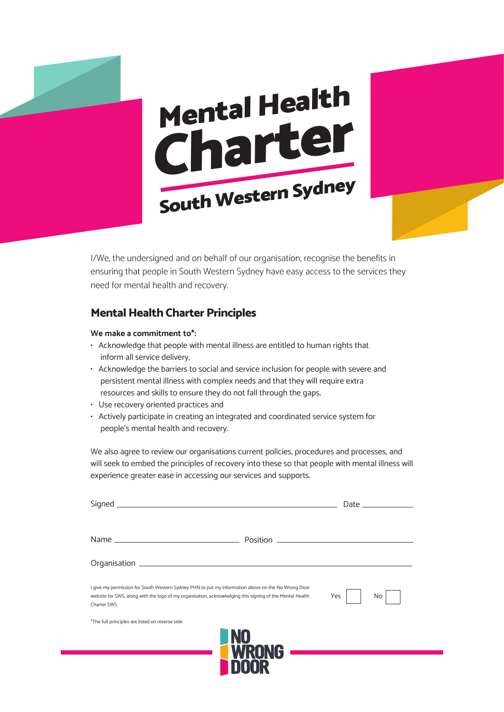



I/We, the undersigned and on behalf of our organisation, recognise the benefits in ensuring that people in South Western Sydney have easy access to the services they need for mental health and recovery.

### **Mental Health Charter Principles**

#### **We make a commitment to\*:**

- Acknowledge that people with mental illness are entitled to human rights that inform all service delivery,
- Acknowledge the barriers to social and service inclusion for people with severe and persistent mental illness with complex needs and that they will require extra resources and skills to ensure they do not fall through the gaps,
- Use recovery oriented practices and
- Actively participate in creating an integrated and coordinated service system for people's mental health and recovery.

We also agree to review our organisations current policies, procedures and processes, and will seek to embed the principles of recovery into these so that people with mental illness will experience greater ease in accessing our services and supports.

|                                                                                                                                                                                                                                | Date _______________ |    |
|--------------------------------------------------------------------------------------------------------------------------------------------------------------------------------------------------------------------------------|----------------------|----|
|                                                                                                                                                                                                                                |                      |    |
|                                                                                                                                                                                                                                |                      |    |
| I give my permission for South Western Sydney PHN to put my information above on the No Wrong Door<br>website for SWS, along with the logo of my organisation, acknowledging this signing of the Mental Health<br>Charter SWS. | Yes                  | No |
| *The full principles are listed on reverse side.                                                                                                                                                                               | <b>NU</b>            |    |
|                                                                                                                                                                                                                                | <b>AG</b>            |    |